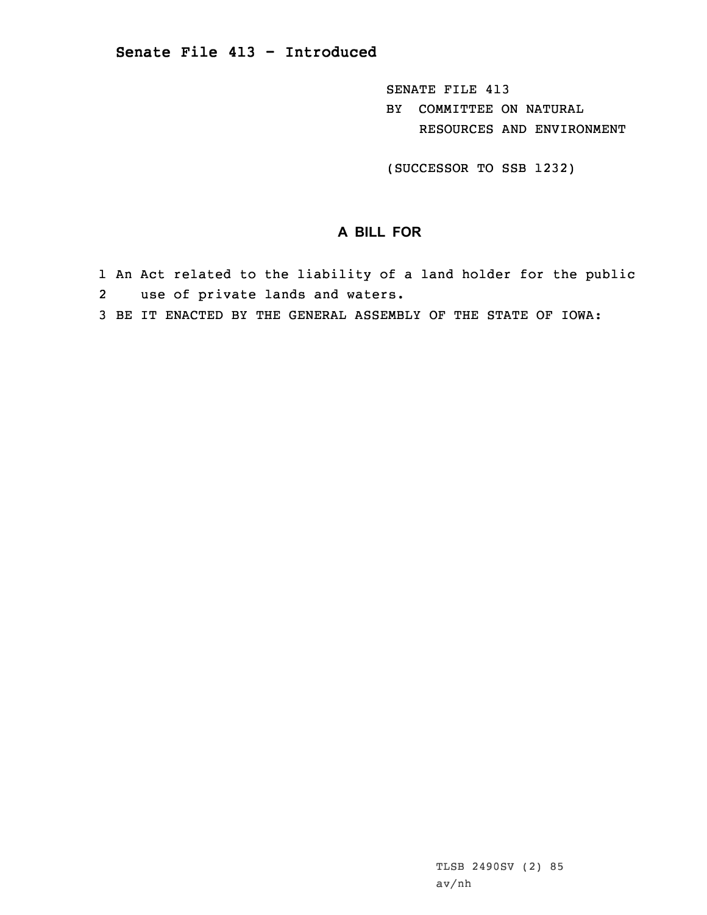SENATE FILE 413 BY COMMITTEE ON NATURAL RESOURCES AND ENVIRONMENT

(SUCCESSOR TO SSB 1232)

## **A BILL FOR**

- 1 An Act related to the liability of <sup>a</sup> land holder for the public 2use of private lands and waters.
- 3 BE IT ENACTED BY THE GENERAL ASSEMBLY OF THE STATE OF IOWA: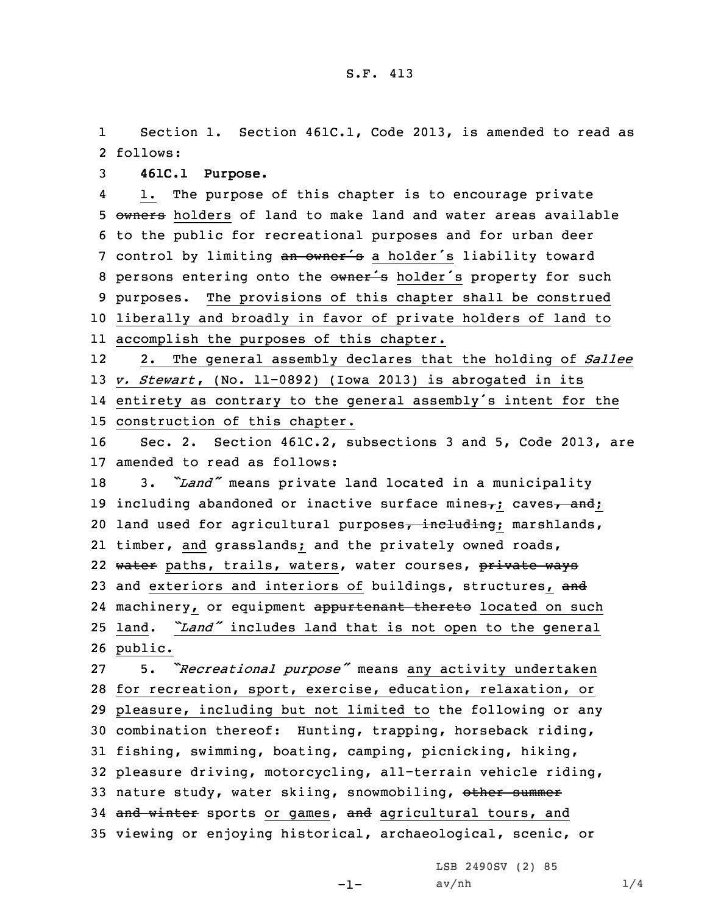1 Section 1. Section 461C.1, Code 2013, is amended to read as 2 follows:

3 **461C.1 Purpose.**

4 1. The purpose of this chapter is to encourage private 5 owners holders of land to make land and water areas available 6 to the public for recreational purposes and for urban deer 7 control by limiting an owner's a holder's liability toward 8 persons entering onto the owner's holder's property for such 9 purposes. The provisions of this chapter shall be construed 10 liberally and broadly in favor of private holders of land to 11 accomplish the purposes of this chapter.

12 2. The general assembly declares that the holding of *Sallee* 13 *v. Stewart*, (No. 11-0892) (Iowa 2013) is abrogated in its 14 entirety as contrary to the general assembly's intent for the 15 construction of this chapter.

16 Sec. 2. Section 461C.2, subsections 3 and 5, Code 2013, are 17 amended to read as follows:

<sup>18</sup> 3. *"Land"* means private land located in <sup>a</sup> municipality 19 including abandoned or inactive surface mines $\tau$ ; caves $\tau$  and; 20 land used for agricultural purposes, including; marshlands, 21 timber, and grasslands; and the privately owned roads, 22 water paths, trails, waters, water courses, private ways 23 and exteriors and interiors of buildings, structures, and 24 machinery, or equipment appurtenant thereto located on such <sup>25</sup> land. *"Land"* includes land that is not open to the general 26 public.

 5. *"Recreational purpose"* means any activity undertaken for recreation, sport, exercise, education, relaxation, or pleasure, including but not limited to the following or any combination thereof: Hunting, trapping, horseback riding, fishing, swimming, boating, camping, picnicking, hiking, pleasure driving, motorcycling, all-terrain vehicle riding, 33 nature study, water skiing, snowmobiling, other summer 34 and winter sports or games, and agricultural tours, and viewing or enjoying historical, archaeological, scenic, or

LSB 2490SV (2) 85

-1-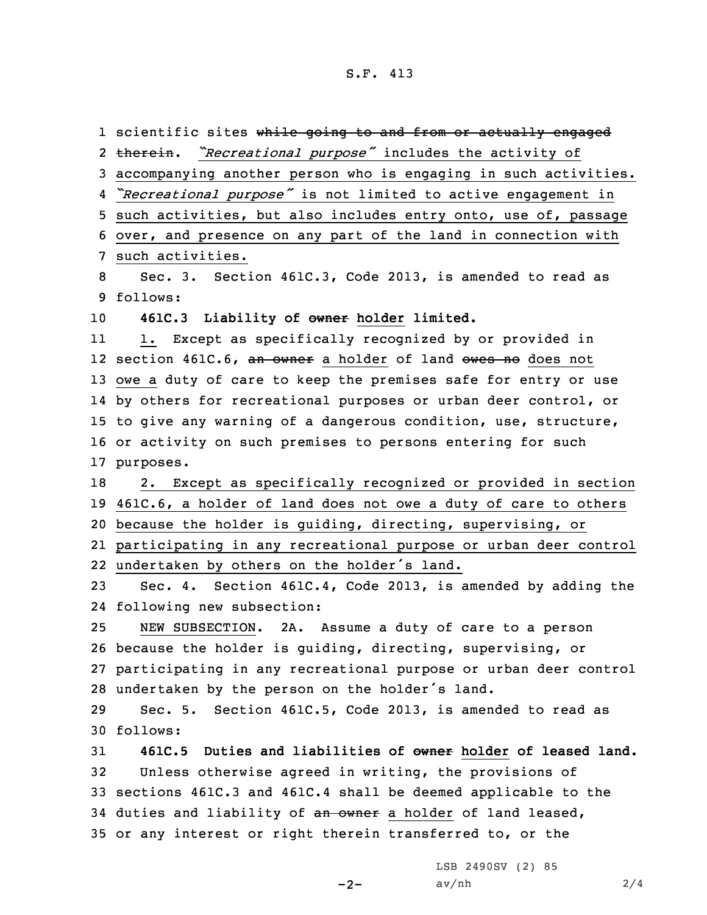1 scientific sites wh<del>ile going to and from or actually engaged</del> 2 therein. "Recreational purpose" includes the activity of accompanying another person who is engaging in such activities. *"Recreational purpose"* is not limited to active engagement in such activities, but also includes entry onto, use of, passage over, and presence on any part of the land in connection with such activities. Sec. 3. Section 461C.3, Code 2013, is amended to read as 9 follows: **461C.3 Liability of owner holder limited.** 11 1. Except as specifically recognized by or provided in 12 section 461C.6, <del>an owner</del> a holder of land <del>owes no</del> does not owe <sup>a</sup> duty of care to keep the premises safe for entry or use by others for recreational purposes or urban deer control, or to give any warning of <sup>a</sup> dangerous condition, use, structure, or activity on such premises to persons entering for such purposes. 2. Except as specifically recognized or provided in section 461C.6, <sup>a</sup> holder of land does not owe <sup>a</sup> duty of care to others because the holder is guiding, directing, supervising, or participating in any recreational purpose or urban deer control undertaken by others on the holder's land. Sec. 4. Section 461C.4, Code 2013, is amended by adding the following new subsection: NEW SUBSECTION. 2A. Assume <sup>a</sup> duty of care to <sup>a</sup> person because the holder is guiding, directing, supervising, or participating in any recreational purpose or urban deer control undertaken by the person on the holder's land. Sec. 5. Section 461C.5, Code 2013, is amended to read as 30 follows: **461C.5 Duties and liabilities of owner holder of leased land.** Unless otherwise agreed in writing, the provisions of sections 461C.3 and 461C.4 shall be deemed applicable to the 34 duties and liability of an owner a holder of land leased, or any interest or right therein transferred to, or the

 $-2-$ 

LSB 2490SV (2) 85  $av/nh$  2/4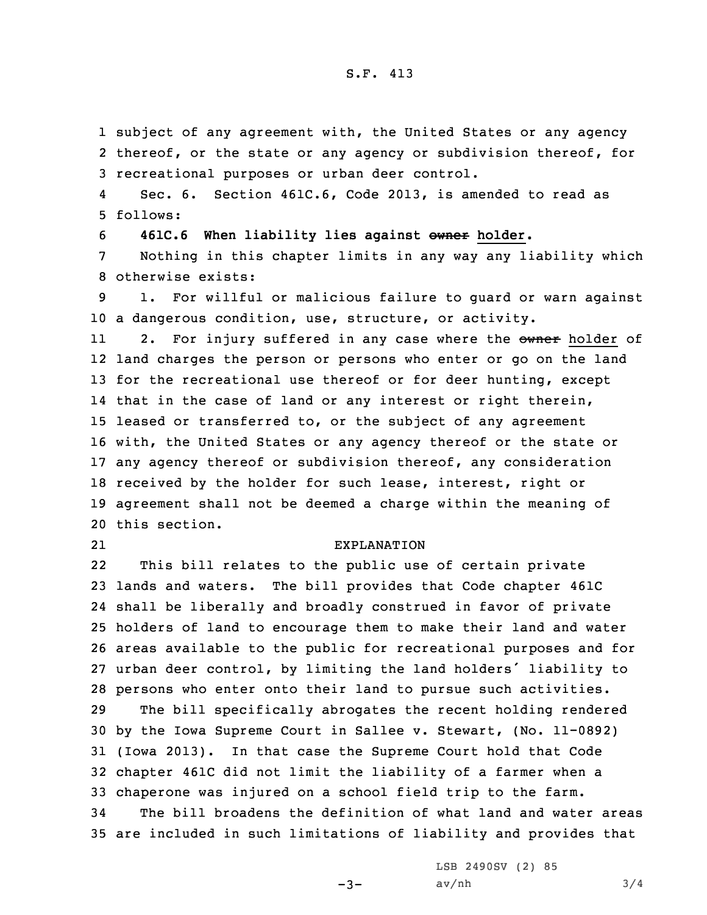## S.F. 413

1 subject of any agreement with, the United States or any agency 2 thereof, or the state or any agency or subdivision thereof, for 3 recreational purposes or urban deer control.

4 Sec. 6. Section 461C.6, Code 2013, is amended to read as 5 follows:

6 **461C.6 When liability lies against owner holder.**

7 Nothing in this chapter limits in any way any liability which 8 otherwise exists:

9 1. For willful or malicious failure to guard or warn against 10 <sup>a</sup> dangerous condition, use, structure, or activity.

112. For injury suffered in any case where the owner holder of land charges the person or persons who enter or go on the land 13 for the recreational use thereof or for deer hunting, except that in the case of land or any interest or right therein, leased or transferred to, or the subject of any agreement with, the United States or any agency thereof or the state or any agency thereof or subdivision thereof, any consideration received by the holder for such lease, interest, right or agreement shall not be deemed <sup>a</sup> charge within the meaning of this section.

21

## EXPLANATION

22 This bill relates to the public use of certain private lands and waters. The bill provides that Code chapter 461C shall be liberally and broadly construed in favor of private holders of land to encourage them to make their land and water areas available to the public for recreational purposes and for urban deer control, by limiting the land holders' liability to persons who enter onto their land to pursue such activities. The bill specifically abrogates the recent holding rendered by the Iowa Supreme Court in Sallee v. Stewart, (No. 11-0892) (Iowa 2013). In that case the Supreme Court hold that Code chapter 461C did not limit the liability of <sup>a</sup> farmer when <sup>a</sup> chaperone was injured on <sup>a</sup> school field trip to the farm. The bill broadens the definition of what land and water areas are included in such limitations of liability and provides that

> LSB 2490SV (2) 85  $av/nh$  3/4

 $-3-$